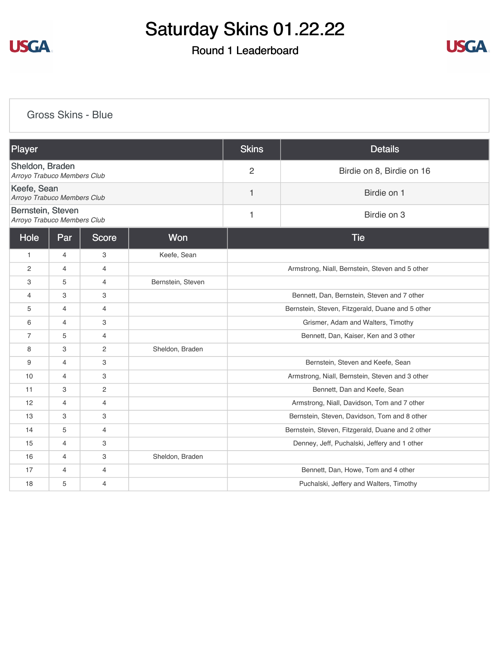

## Round 1 Leaderboard



#### [Gross Skins - Blue](https://cdn2.golfgenius.com/v2tournaments/8146905700451246142?called_from=&round_index=1)

| Player                                           |                |                |                   | <b>Skins</b>                                     | <b>Details</b>                          |  |  |
|--------------------------------------------------|----------------|----------------|-------------------|--------------------------------------------------|-----------------------------------------|--|--|
| Sheldon, Braden<br>Arroyo Trabuco Members Club   |                |                |                   | $\overline{2}$                                   | Birdie on 8, Birdie on 16               |  |  |
| Keefe, Sean<br>Arroyo Trabuco Members Club       |                |                |                   | 1                                                | Birdie on 1                             |  |  |
| Bernstein, Steven<br>Arroyo Trabuco Members Club |                |                |                   | Birdie on 3<br>1                                 |                                         |  |  |
| Hole<br>Won<br>Par<br><b>Score</b>               |                |                |                   |                                                  | <b>Tie</b>                              |  |  |
| $\mathbf{1}$                                     | $\overline{4}$ | 3              | Keefe, Sean       |                                                  |                                         |  |  |
| $\overline{2}$                                   | $\overline{4}$ | $\overline{4}$ |                   | Armstrong, Niall, Bernstein, Steven and 5 other  |                                         |  |  |
| 3                                                | 5              | $\overline{4}$ | Bernstein, Steven |                                                  |                                         |  |  |
| $\overline{4}$                                   | 3              | 3              |                   | Bennett, Dan, Bernstein, Steven and 7 other      |                                         |  |  |
| 5                                                | $\overline{4}$ | $\overline{4}$ |                   | Bernstein, Steven, Fitzgerald, Duane and 5 other |                                         |  |  |
| 6                                                | $\overline{4}$ | 3              |                   | Grismer, Adam and Walters, Timothy               |                                         |  |  |
| $\overline{7}$                                   | 5              | $\overline{4}$ |                   | Bennett, Dan, Kaiser, Ken and 3 other            |                                         |  |  |
| 8                                                | 3              | $\overline{2}$ | Sheldon, Braden   |                                                  |                                         |  |  |
| 9                                                | $\overline{4}$ | 3              |                   | Bernstein, Steven and Keefe, Sean                |                                         |  |  |
| 10                                               | 4              | 3              |                   | Armstrong, Niall, Bernstein, Steven and 3 other  |                                         |  |  |
| 11                                               | 3              | 2              |                   | Bennett, Dan and Keefe, Sean                     |                                         |  |  |
| 12                                               | $\overline{4}$ | 4              |                   | Armstrong, Niall, Davidson, Tom and 7 other      |                                         |  |  |
| 13                                               | 3              | 3              |                   | Bernstein, Steven, Davidson, Tom and 8 other     |                                         |  |  |
| 14                                               | 5              | $\overline{4}$ |                   | Bernstein, Steven, Fitzgerald, Duane and 2 other |                                         |  |  |
| 15                                               | $\overline{4}$ | 3              |                   | Denney, Jeff, Puchalski, Jeffery and 1 other     |                                         |  |  |
| 16                                               | $\overline{4}$ | 3              | Sheldon, Braden   |                                                  |                                         |  |  |
| 17                                               | $\overline{4}$ | $\overline{4}$ |                   |                                                  | Bennett, Dan, Howe, Tom and 4 other     |  |  |
| 18                                               | 5              | $\overline{4}$ |                   |                                                  | Puchalski, Jeffery and Walters, Timothy |  |  |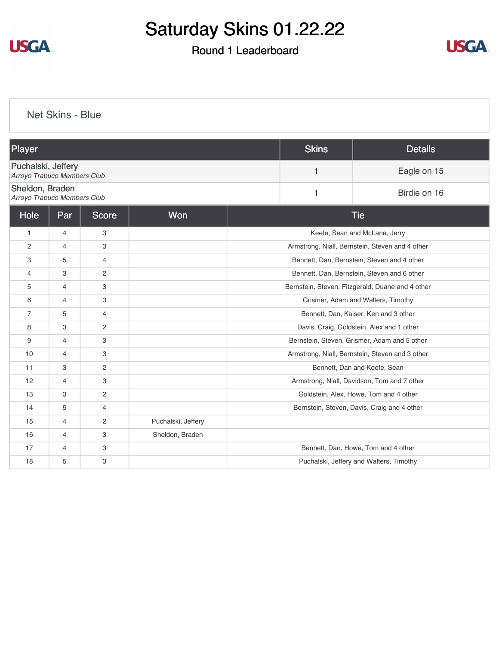

## Round 1 Leaderboard



[Net Skins - Blue](https://cdn2.golfgenius.com/v2tournaments/8146906815129477183?called_from=&round_index=1)

| Player                                            |                |                |                    |   | <b>Skins</b> | <b>Details</b>                                   |
|---------------------------------------------------|----------------|----------------|--------------------|---|--------------|--------------------------------------------------|
| Puchalski, Jeffery<br>Arroyo Trabuco Members Club |                |                |                    | 1 | Eagle on 15  |                                                  |
| Sheldon, Braden<br>Arroyo Trabuco Members Club    |                |                |                    |   | 1            | Birdie on 16                                     |
| Hole                                              | Par            | <b>Score</b>   | Won                |   |              | <b>Tie</b>                                       |
| $\mathbf{1}$                                      | $\overline{4}$ | 3              |                    |   |              | Keefe, Sean and McLane, Jerry                    |
| $\mathbf{2}$                                      | $\overline{4}$ | 3              |                    |   |              | Armstrong, Niall, Bernstein, Steven and 4 other  |
| 3                                                 | 5              | $\overline{4}$ |                    |   |              | Bennett, Dan, Bernstein, Steven and 4 other      |
| 4                                                 | 3              | 2              |                    |   |              | Bennett, Dan, Bernstein, Steven and 6 other      |
| 5                                                 | $\overline{4}$ | 3              |                    |   |              | Bernstein, Steven, Fitzgerald, Duane and 4 other |
| 6                                                 | $\overline{4}$ | 3              |                    |   |              | Grismer, Adam and Walters, Timothy               |
| $\overline{7}$                                    | 5              | $\overline{4}$ |                    |   |              | Bennett, Dan, Kaiser, Ken and 3 other            |
| 8                                                 | 3              | 2              |                    |   |              | Davis, Craig, Goldstein, Alex and 1 other        |
| 9                                                 | $\overline{4}$ | 3              |                    |   |              | Bernstein, Steven, Grismer, Adam and 5 other     |
| 10                                                | $\overline{4}$ | 3              |                    |   |              | Armstrong, Niall, Bernstein, Steven and 3 other  |
| 11                                                | 3              | 2              |                    |   |              | Bennett, Dan and Keefe, Sean                     |
| 12                                                | $\overline{4}$ | 3              |                    |   |              | Armstrong, Niall, Davidson, Tom and 7 other      |
| 13                                                | 3              | 2              |                    |   |              | Goldstein, Alex, Howe, Tom and 4 other           |
| 14                                                | 5              | $\overline{4}$ |                    |   |              | Bernstein, Steven, Davis, Craig and 4 other      |
| 15                                                | $\overline{4}$ | 2              | Puchalski, Jeffery |   |              |                                                  |
| 16                                                | $\overline{4}$ | 3              | Sheldon, Braden    |   |              |                                                  |
| 17                                                | $\overline{4}$ | 3              |                    |   |              | Bennett, Dan, Howe, Tom and 4 other              |
| 18                                                | 5              | 3              |                    |   |              | Puchalski, Jeffery and Walters, Timothy          |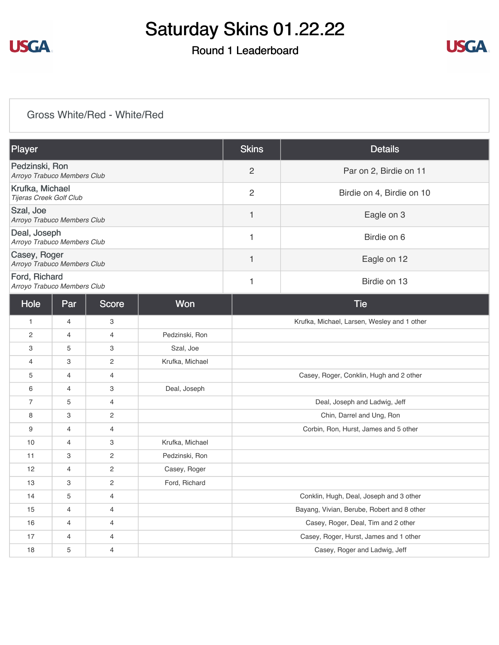

## Round 1 Leaderboard



#### [Gross White/Red - White/Red](https://cdn2.golfgenius.com/v2tournaments/8146908436680958016?called_from=&round_index=1)

| Player                                        | <b>Skins</b>   | <b>Details</b>            |
|-----------------------------------------------|----------------|---------------------------|
| Pedzinski, Ron<br>Arroyo Trabuco Members Club | 2              | Par on 2, Birdie on 11    |
| Krufka, Michael<br>Tijeras Creek Golf Club    | $\overline{2}$ | Birdie on 4, Birdie on 10 |
| Szal, Joe<br>Arroyo Trabuco Members Club      |                | Eagle on 3                |
| Deal, Joseph<br>Arroyo Trabuco Members Club   |                | Birdie on 6               |
| Casey, Roger<br>Arroyo Trabuco Members Club   |                | Eagle on 12               |
| Ford, Richard<br>Arroyo Trabuco Members Club  |                | Birdie on 13              |

| Hole           | Par            | <b>Score</b>          | Won             | <b>Tie</b>                                  |
|----------------|----------------|-----------------------|-----------------|---------------------------------------------|
| $\mathbf{1}$   | $\overline{4}$ | 3                     |                 | Krufka, Michael, Larsen, Wesley and 1 other |
| 2              | 4              | 4                     | Pedzinski, Ron  |                                             |
| 3              | 5              | 3                     | Szal, Joe       |                                             |
| 4              | 3              | 2                     | Krufka, Michael |                                             |
| 5              | 4              | 4                     |                 | Casey, Roger, Conklin, Hugh and 2 other     |
| 6              | $\overline{4}$ | 3                     | Deal, Joseph    |                                             |
| $\overline{7}$ | 5              | 4                     |                 | Deal, Joseph and Ladwig, Jeff               |
| 8              | 3              | $\mathbf{2}^{\prime}$ |                 | Chin, Darrel and Ung, Ron                   |
| 9              | 4              | 4                     |                 | Corbin, Ron, Hurst, James and 5 other       |
| 10             | 4              | 3                     | Krufka, Michael |                                             |
| 11             | 3              | $\mathbf{2}^{\prime}$ | Pedzinski, Ron  |                                             |
| 12             | $\overline{4}$ | $\overline{2}$        | Casey, Roger    |                                             |
| 13             | 3              | $\overline{2}$        | Ford, Richard   |                                             |
| 14             | 5              | 4                     |                 | Conklin, Hugh, Deal, Joseph and 3 other     |
| 15             | 4              | 4                     |                 | Bayang, Vivian, Berube, Robert and 8 other  |
| 16             | $\overline{4}$ | 4                     |                 | Casey, Roger, Deal, Tim and 2 other         |
| 17             | $\overline{4}$ | $\overline{4}$        |                 | Casey, Roger, Hurst, James and 1 other      |
| 18             | 5              | 4                     |                 | Casey, Roger and Ladwig, Jeff               |